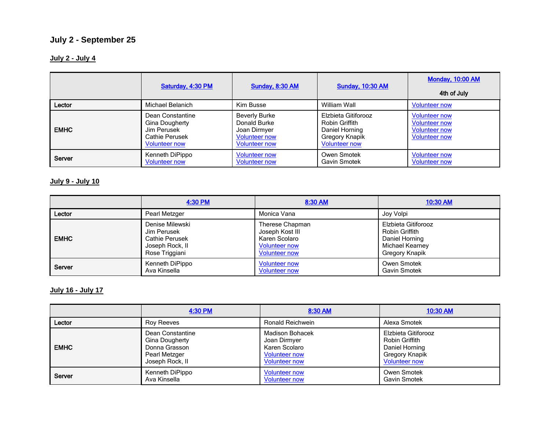# **July 2 - September 25**

# **July 2 - July 4**

|             | Saturday, 4:30 PM                                                                           | <b>Sunday, 8:30 AM</b>                                                                               | <b>Sunday, 10:30 AM</b>                                                                           | <b>Monday, 10:00 AM</b><br>4th of July                                                       |
|-------------|---------------------------------------------------------------------------------------------|------------------------------------------------------------------------------------------------------|---------------------------------------------------------------------------------------------------|----------------------------------------------------------------------------------------------|
| Lector      | Michael Belanich                                                                            | Kim Busse                                                                                            | William Wall                                                                                      | <b>Volunteer now</b>                                                                         |
| <b>EMHC</b> | Dean Constantine<br>Gina Dougherty<br>Jim Perusek<br>Cathie Perusek<br><b>Volunteer now</b> | <b>Beverly Burke</b><br>Donald Burke<br>Joan Dirmyer<br><b>Volunteer now</b><br><b>Volunteer now</b> | Elzbieta Gitiforooz<br>Robin Griffith<br>Daniel Horning<br>Gregory Knapik<br><b>Volunteer now</b> | <b>Volunteer now</b><br><b>Volunteer now</b><br><b>Volunteer now</b><br><b>Volunteer now</b> |
| Server      | Kenneth DiPippo<br><b>Volunteer now</b>                                                     | <b>Volunteer now</b><br><b>Volunteer now</b>                                                         | Owen Smotek<br>Gavin Smotek                                                                       | <b>Volunteer now</b><br><b>Volunteer now</b>                                                 |

# **July 9 - July 10**

|             | 4:30 PM         | 8:30 AM              | 10:30 AM            |
|-------------|-----------------|----------------------|---------------------|
| Lector      | Pearl Metzger   | Monica Vana          | Joy Volpi           |
| <b>EMHC</b> | Denise Milewski | Therese Chapman      | Elzbieta Gitiforooz |
|             | Jim Perusek     | Joseph Kost III      | Robin Griffith      |
|             | Cathie Perusek  | Karen Scolaro        | Daniel Horning      |
|             | Joseph Rock, II | <b>Volunteer now</b> | Michael Kearney     |
|             | Rose Triggiani  | <b>Volunteer now</b> | Gregory Knapik      |
| Server      | Kenneth DiPippo | <b>Volunteer now</b> | Owen Smotek         |
|             | Ava Kinsella    | <b>Volunteer now</b> | <b>Gavin Smotek</b> |

# **July 16 - July 17**

|             | 4:30 PM          | 8:30 AM                | 10:30 AM             |
|-------------|------------------|------------------------|----------------------|
| Lector      | Roy Reeves       | Ronald Reichwein       | Alexa Smotek         |
| <b>EMHC</b> | Dean Constantine | <b>Madison Bohacek</b> | Elzbieta Gitiforooz  |
|             | Gina Dougherty   | Joan Dirmyer           | Robin Griffith       |
|             | Donna Grasson    | Karen Scolaro          | Daniel Horning       |
|             | Pearl Metzger    | <b>Volunteer now</b>   | Gregory Knapik       |
|             | Joseph Rock, II  | <b>Volunteer now</b>   | <b>Volunteer now</b> |
| Server      | Kenneth DiPippo  | <b>Volunteer now</b>   | Owen Smotek          |
|             | Ava Kinsella     | <b>Volunteer now</b>   | <b>Gavin Smotek</b>  |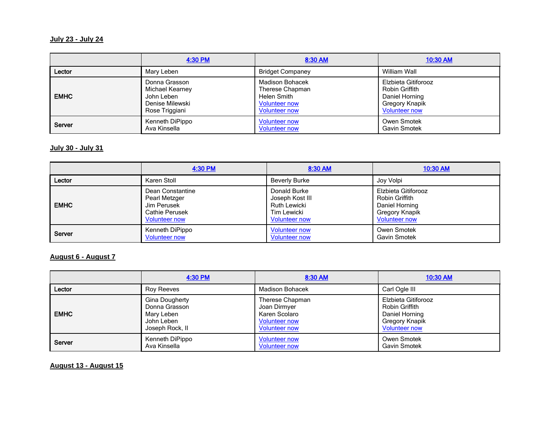## **July 23 - July 24**

|             | 4:30 PM         | 8:30 AM                 | 10:30 AM             |
|-------------|-----------------|-------------------------|----------------------|
| Lector      | Mary Leben      | <b>Bridget Companey</b> | William Wall         |
| <b>EMHC</b> | Donna Grasson   | <b>Madison Bohacek</b>  | Elzbieta Gitiforooz  |
|             | Michael Kearney | Therese Chapman         | Robin Griffith       |
|             | John Leben      | Helen Smith             | Daniel Horning       |
|             | Denise Milewski | <b>Volunteer now</b>    | Gregory Knapik       |
|             | Rose Triggiani  | <b>Volunteer now</b>    | <b>Volunteer now</b> |
| Server      | Kenneth DiPippo | <b>Volunteer now</b>    | Owen Smotek          |
|             | Ava Kinsella    | <b>Volunteer now</b>    | Gavin Smotek         |

#### **July 30 - July 31**

|             | 4:30 PM              | 8:30 AM              | 10:30 AM             |
|-------------|----------------------|----------------------|----------------------|
| Lector      | Karen Stoll          | <b>Beverly Burke</b> | Joy Volpi            |
| <b>EMHC</b> | Dean Constantine     | Donald Burke         | Elzbieta Gitiforooz  |
|             | Pearl Metzger        | Joseph Kost III      | Robin Griffith       |
|             | Jim Perusek          | Ruth Lewicki         | Daniel Horning       |
|             | Cathie Perusek       | Tim Lewicki          | Gregory Knapik       |
|             | <b>Volunteer now</b> | <b>Volunteer now</b> | <b>Volunteer now</b> |
| Server      | Kenneth DiPippo      | <b>Volunteer now</b> | Owen Smotek          |
|             | <b>Volunteer now</b> | <b>Volunteer now</b> | <b>Gavin Smotek</b>  |

# **August 6 - August 7**

|             | 4:30 PM               | 8:30 AM                | 10:30 AM             |
|-------------|-----------------------|------------------------|----------------------|
| Lector      | Roy Reeves            | <b>Madison Bohacek</b> | Carl Ogle III        |
| <b>EMHC</b> | <b>Gina Dougherty</b> | Therese Chapman        | Elzbieta Gitiforooz  |
|             | Donna Grasson         | Joan Dirmyer           | Robin Griffith       |
|             | Mary Leben            | Karen Scolaro          | Daniel Horning       |
|             | John Leben            | <b>Volunteer now</b>   | Gregory Knapik       |
|             | Joseph Rock, II       | <b>Volunteer now</b>   | <b>Volunteer now</b> |
| Server      | Kenneth DiPippo       | <b>Volunteer now</b>   | Owen Smotek          |
|             | Ava Kinsella          | <b>Volunteer now</b>   | Gavin Smotek         |

## **August 13 - August 15**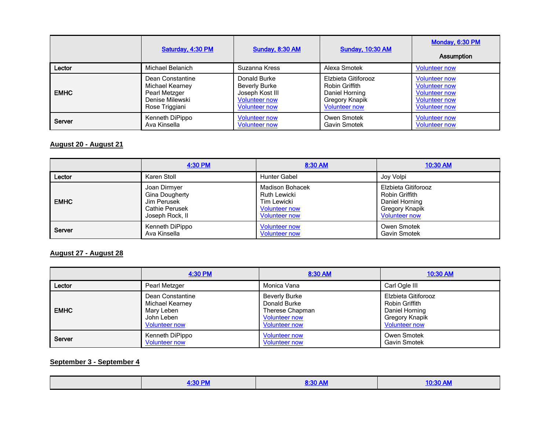|             | Saturday, 4:30 PM | <b>Sunday, 8:30 AM</b> | <b>Sunday, 10:30 AM</b> | Monday, 6:30 PM<br><b>Assumption</b> |
|-------------|-------------------|------------------------|-------------------------|--------------------------------------|
| Lector      | Michael Belanich  | Suzanna Kress          | Alexa Smotek            | <b>Volunteer now</b>                 |
| <b>EMHC</b> | Dean Constantine  | Donald Burke           | Elzbieta Gitiforooz     | <b>Volunteer now</b>                 |
|             | Michael Kearney   | <b>Beverly Burke</b>   | Robin Griffith          | <b>Volunteer now</b>                 |
|             | Pearl Metzger     | Joseph Kost III        | Daniel Horning          | <b>Volunteer now</b>                 |
|             | Denise Milewski   | <b>Volunteer now</b>   | Gregory Knapik          | <b>Volunteer now</b>                 |
|             | Rose Triggiani    | <b>Volunteer now</b>   | <b>Volunteer now</b>    | <b>Volunteer now</b>                 |
| Server      | Kenneth DiPippo   | <b>Volunteer now</b>   | Owen Smotek             | <b>Volunteer now</b>                 |
|             | Ava Kinsella      | <b>Volunteer now</b>   | Gavin Smotek            | <b>Volunteer now</b>                 |

## **August 20 - August 21**

|             | 4:30 PM         | 8:30 AM                | 10:30 AM             |
|-------------|-----------------|------------------------|----------------------|
| Lector      | Karen Stoll     | <b>Hunter Gabel</b>    | Joy Volpi            |
| <b>EMHC</b> | Joan Dirmyer    | <b>Madison Bohacek</b> | Elzbieta Gitiforooz  |
|             | Gina Dougherty  | <b>Ruth Lewicki</b>    | Robin Griffith       |
|             | Jim Perusek     | Tim Lewicki            | Daniel Horning       |
|             | Cathie Perusek  | <b>Volunteer now</b>   | Gregory Knapik       |
|             | Joseph Rock, II | <b>Volunteer now</b>   | <b>Volunteer now</b> |
| Server      | Kenneth DiPippo | <b>Volunteer now</b>   | Owen Smotek          |
|             | Ava Kinsella    | <b>Volunteer now</b>   | <b>Gavin Smotek</b>  |

### **August 27 - August 28**

|             | 4:30 PM              | 8:30 AM              | 10:30 AM             |
|-------------|----------------------|----------------------|----------------------|
| Lector      | Pearl Metzger        | Monica Vana          | Carl Ogle III        |
| <b>EMHC</b> | Dean Constantine     | <b>Beverly Burke</b> | Elzbieta Gitiforooz  |
|             | Michael Kearney      | Donald Burke         | Robin Griffith       |
|             | Mary Leben           | Therese Chapman      | Daniel Horning       |
|             | John Leben           | <b>Volunteer now</b> | Gregory Knapik       |
|             | <b>Volunteer now</b> | <b>Volunteer now</b> | <b>Volunteer now</b> |
| Server      | Kenneth DiPippo      | <b>Volunteer now</b> | Owen Smotek          |
|             | <b>Volunteer now</b> | <b>Volunteer now</b> | Gavin Smotek         |

# **September 3 - September 4**

|--|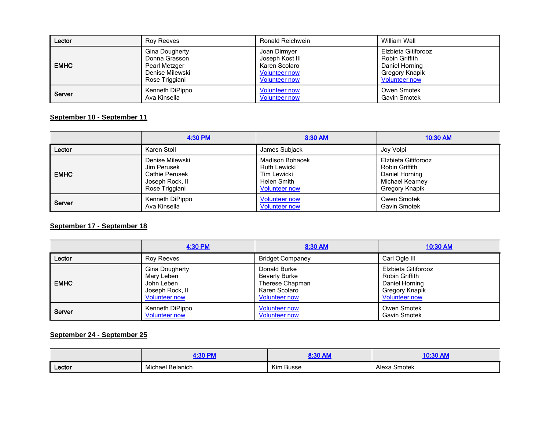| Lector      | Rov Reeves      | Ronald Reichwein     | William Wall         |
|-------------|-----------------|----------------------|----------------------|
| <b>EMHC</b> | Gina Dougherty  | Joan Dirmyer         | Elzbieta Gitiforooz  |
|             | Donna Grasson   | Joseph Kost III      | Robin Griffith       |
|             | Pearl Metzger   | Karen Scolaro        | Daniel Horning       |
|             | Denise Milewski | <b>Volunteer now</b> | Gregory Knapik       |
|             | Rose Triggiani  | <b>Volunteer now</b> | <b>Volunteer now</b> |
| Server      | Kenneth DiPippo | <b>Volunteer now</b> | Owen Smotek          |
|             | Ava Kinsella    | <b>Volunteer now</b> | Gavin Smotek         |

#### **September 10 - September 11**

|             | 4:30 PM         | 8:30 AM                | 10:30 AM            |
|-------------|-----------------|------------------------|---------------------|
| Lector      | Karen Stoll     | James Subjack          | Joy Volpi           |
| <b>EMHC</b> | Denise Milewski | <b>Madison Bohacek</b> | Elzbieta Gitiforooz |
|             | Jim Perusek     | <b>Ruth Lewicki</b>    | Robin Griffith      |
|             | Cathie Perusek  | Tim Lewicki            | Daniel Horning      |
|             | Joseph Rock, II | Helen Smith            | Michael Kearney     |
|             | Rose Triggiani  | <b>Volunteer now</b>   | Gregory Knapik      |
| Server      | Kenneth DiPippo | <b>Volunteer now</b>   | Owen Smotek         |
|             | Ava Kinsella    | <b>Volunteer now</b>   | Gavin Smotek        |

#### **September 17 - September 18**

|             | 4:30 PM              | 8:30 AM                 | 10:30 AM             |
|-------------|----------------------|-------------------------|----------------------|
| Lector      | <b>Roy Reeves</b>    | <b>Bridget Companey</b> | Carl Ogle III        |
| <b>EMHC</b> | Gina Dougherty       | Donald Burke            | Elzbieta Gitiforooz  |
|             | Mary Leben           | <b>Beverly Burke</b>    | Robin Griffith       |
|             | John Leben           | Therese Chapman         | Daniel Horning       |
|             | Joseph Rock, II      | Karen Scolaro           | Gregory Knapik       |
|             | <b>Volunteer now</b> | <b>Volunteer now</b>    | <b>Volunteer now</b> |
| Server      | Kenneth DiPippo      | <b>Volunteer now</b>    | Owen Smotek          |
|             | <b>Volunteer now</b> | <b>Volunteer now</b>    | Gavin Smotek         |

## **September 24 - September 25**

|        | .90B1            | $9.30$ AM | OO ALL                      |
|--------|------------------|-----------|-----------------------------|
|        | z.or             | אורו טט.כ | $\sim$ $\sim$ $\sim$ $\sim$ |
| Lector | Michael Belanich | Kim Busse | Alexa Smotek                |